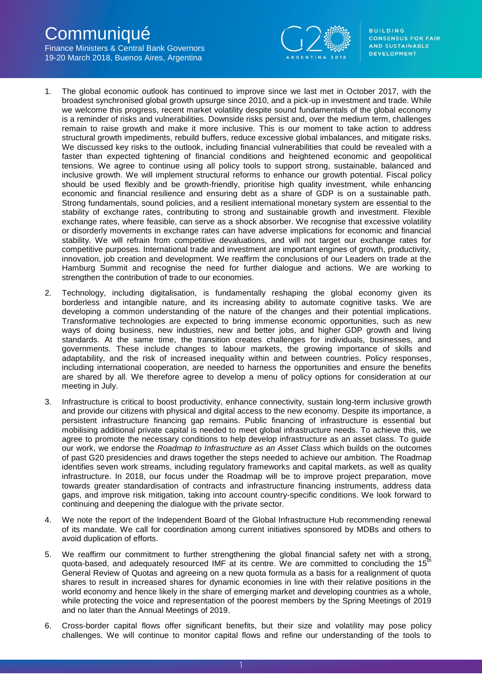# **Communiqué**

Finance Ministers & Central Bank Governors 19-20 March 2018, Buenos Aires, Argentina



**BUILDING CONSENSUS FOR FAIR** AND SUSTAINABLE **DEVELOPMENT** 

- 1. The global economic outlook has continued to improve since we last met in October 2017, with the broadest synchronised global growth upsurge since 2010, and a pick-up in investment and trade. While we welcome this progress, recent market volatility despite sound fundamentals of the global economy is a reminder of risks and vulnerabilities. Downside risks persist and, over the medium term, challenges remain to raise growth and make it more inclusive. This is our moment to take action to address structural growth impediments, rebuild buffers, reduce excessive global imbalances, and mitigate risks. We discussed key risks to the outlook, including financial vulnerabilities that could be revealed with a faster than expected tightening of financial conditions and heightened economic and geopolitical tensions. We agree to continue using all policy tools to support strong, sustainable, balanced and inclusive growth. We will implement structural reforms to enhance our growth potential. Fiscal policy should be used flexibly and be growth-friendly, prioritise high quality investment, while enhancing economic and financial resilience and ensuring debt as a share of GDP is on a sustainable path. Strong fundamentals, sound policies, and a resilient international monetary system are essential to the stability of exchange rates, contributing to strong and sustainable growth and investment. Flexible exchange rates, where feasible, can serve as a shock absorber. We recognise that excessive volatility or disorderly movements in exchange rates can have adverse implications for economic and financial stability. We will refrain from competitive devaluations, and will not target our exchange rates for competitive purposes. International trade and investment are important engines of growth, productivity, innovation, job creation and development. We reaffirm the conclusions of our Leaders on trade at the Hamburg Summit and recognise the need for further dialogue and actions. We are working to strengthen the contribution of trade to our economies.
- 2. Technology, including digitalisation, is fundamentally reshaping the global economy given its borderless and intangible nature, and its increasing ability to automate cognitive tasks. We are developing a common understanding of the nature of the changes and their potential implications. Transformative technologies are expected to bring immense economic opportunities, such as new ways of doing business, new industries, new and better jobs, and higher GDP growth and living standards. At the same time, the transition creates challenges for individuals, businesses, and governments. These include changes to labour markets, the growing importance of skills and adaptability, and the risk of increased inequality within and between countries. Policy responses, including international cooperation, are needed to harness the opportunities and ensure the benefits are shared by all. We therefore agree to develop a menu of policy options for consideration at our meeting in July.
- 3. Infrastructure is critical to boost productivity, enhance connectivity, sustain long-term inclusive growth and provide our citizens with physical and digital access to the new economy. Despite its importance, a persistent infrastructure financing gap remains. Public financing of infrastructure is essential but mobilising additional private capital is needed to meet global infrastructure needs. To achieve this, we agree to promote the necessary conditions to help develop infrastructure as an asset class. To guide our work, we endorse the *Roadmap to Infrastructure as an Asset Class* which builds on the outcomes of past G20 presidencies and draws together the steps needed to achieve our ambition. The Roadmap identifies seven work streams, including regulatory frameworks and capital markets, as well as quality infrastructure. In 2018, our focus under the Roadmap will be to improve project preparation, move towards greater standardisation of contracts and infrastructure financing instruments, address data gaps, and improve risk mitigation, taking into account country-specific conditions. We look forward to continuing and deepening the dialogue with the private sector.
- 4. We note the report of the Independent Board of the Global Infrastructure Hub recommending renewal of its mandate. We call for coordination among current initiatives sponsored by MDBs and others to avoid duplication of efforts.
- 5. We reaffirm our commitment to further strengthening the global financial safety net with a strong, quota-based, and adequately resourced IMF at its centre. We are committed to concluding the  $15<sup>th</sup>$ General Review of Quotas and agreeing on a new quota formula as a basis for a realignment of quota shares to result in increased shares for dynamic economies in line with their relative positions in the world economy and hence likely in the share of emerging market and developing countries as a whole, while protecting the voice and representation of the poorest members by the Spring Meetings of 2019 and no later than the Annual Meetings of 2019.
- 6. Cross-border capital flows offer significant benefits, but their size and volatility may pose policy challenges. We will continue to monitor capital flows and refine our understanding of the tools to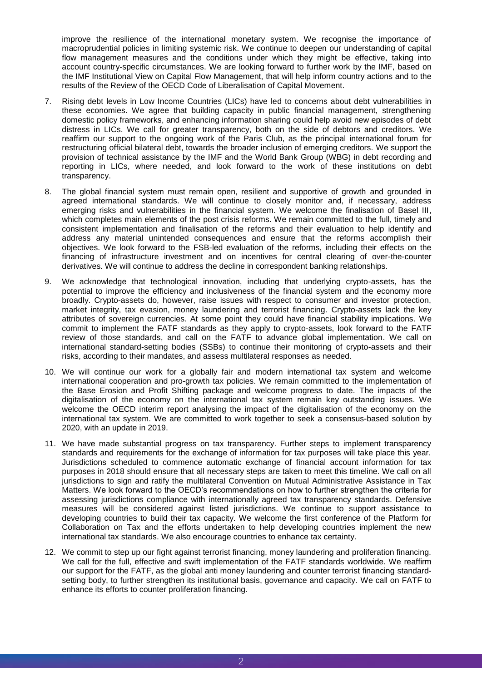improve the resilience of the international monetary system. We recognise the importance of macroprudential policies in limiting systemic risk. We continue to deepen our understanding of capital flow management measures and the conditions under which they might be effective, taking into account country-specific circumstances. We are looking forward to further work by the IMF, based on the IMF Institutional View on Capital Flow Management, that will help inform country actions and to the results of the Review of the OECD Code of Liberalisation of Capital Movement.

- 7. Rising debt levels in Low Income Countries (LICs) have led to concerns about debt vulnerabilities in these economies. We agree that building capacity in public financial management, strengthening domestic policy frameworks, and enhancing information sharing could help avoid new episodes of debt distress in LICs. We call for greater transparency, both on the side of debtors and creditors. We reaffirm our support to the ongoing work of the Paris Club, as the principal international forum for restructuring official bilateral debt, towards the broader inclusion of emerging creditors. We support the provision of technical assistance by the IMF and the World Bank Group (WBG) in debt recording and reporting in LICs, where needed, and look forward to the work of these institutions on debt transparency.
- 8. The global financial system must remain open, resilient and supportive of growth and grounded in agreed international standards. We will continue to closely monitor and, if necessary, address emerging risks and vulnerabilities in the financial system. We welcome the finalisation of Basel III, which completes main elements of the post crisis reforms. We remain committed to the full, timely and consistent implementation and finalisation of the reforms and their evaluation to help identify and address any material unintended consequences and ensure that the reforms accomplish their objectives. We look forward to the FSB-led evaluation of the reforms, including their effects on the financing of infrastructure investment and on incentives for central clearing of over-the-counter derivatives. We will continue to address the decline in correspondent banking relationships.
- 9. We acknowledge that technological innovation, including that underlying crypto-assets, has the potential to improve the efficiency and inclusiveness of the financial system and the economy more broadly. Crypto-assets do, however, raise issues with respect to consumer and investor protection, market integrity, tax evasion, money laundering and terrorist financing. Crypto-assets lack the key attributes of sovereign currencies. At some point they could have financial stability implications. We commit to implement the FATF standards as they apply to crypto-assets, look forward to the FATF review of those standards, and call on the FATF to advance global implementation. We call on international standard-setting bodies (SSBs) to continue their monitoring of crypto-assets and their risks, according to their mandates, and assess multilateral responses as needed.
- 10. We will continue our work for a globally fair and modern international tax system and welcome international cooperation and pro-growth tax policies. We remain committed to the implementation of the Base Erosion and Profit Shifting package and welcome progress to date. The impacts of the digitalisation of the economy on the international tax system remain key outstanding issues. We welcome the OECD interim report analysing the impact of the digitalisation of the economy on the international tax system. We are committed to work together to seek a consensus-based solution by 2020, with an update in 2019.
- 11. We have made substantial progress on tax transparency. Further steps to implement transparency standards and requirements for the exchange of information for tax purposes will take place this year. Jurisdictions scheduled to commence automatic exchange of financial account information for tax purposes in 2018 should ensure that all necessary steps are taken to meet this timeline. We call on all jurisdictions to sign and ratify the multilateral Convention on Mutual Administrative Assistance in Tax Matters. We look forward to the OECD's recommendations on how to further strengthen the criteria for assessing jurisdictions compliance with internationally agreed tax transparency standards. Defensive measures will be considered against listed jurisdictions. We continue to support assistance to developing countries to build their tax capacity. We welcome the first conference of the Platform for Collaboration on Tax and the efforts undertaken to help developing countries implement the new international tax standards. We also encourage countries to enhance tax certainty.
- 12. We commit to step up our fight against terrorist financing, money laundering and proliferation financing. We call for the full, effective and swift implementation of the FATF standards worldwide. We reaffirm our support for the FATF, as the global anti money laundering and counter terrorist financing standardsetting body, to further strengthen its institutional basis, governance and capacity. We call on FATF to enhance its efforts to counter proliferation financing.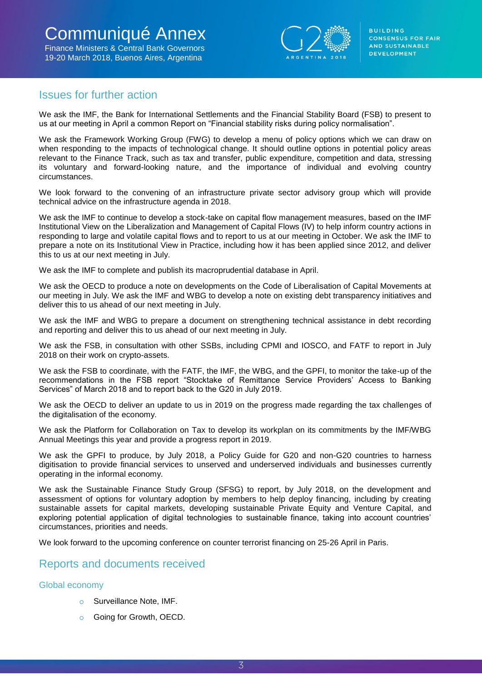

# Issues for further action

We ask the IMF, the Bank for International Settlements and the Financial Stability Board (FSB) to present to us at our meeting in April a common Report on "Financial stability risks during policy normalisation".

We ask the Framework Working Group (FWG) to develop a menu of policy options which we can draw on when responding to the impacts of technological change. It should outline options in potential policy areas relevant to the Finance Track, such as tax and transfer, public expenditure, competition and data, stressing its voluntary and forward-looking nature, and the importance of individual and evolving country circumstances.

We look forward to the convening of an infrastructure private sector advisory group which will provide technical advice on the infrastructure agenda in 2018.

We ask the IMF to continue to develop a stock-take on capital flow management measures, based on the IMF Institutional View on the Liberalization and Management of Capital Flows (IV) to help inform country actions in responding to large and volatile capital flows and to report to us at our meeting in October. We ask the IMF to prepare a note on its Institutional View in Practice, including how it has been applied since 2012, and deliver this to us at our next meeting in July.

We ask the IMF to complete and publish its macroprudential database in April.

We ask the OECD to produce a note on developments on the Code of Liberalisation of Capital Movements at our meeting in July. We ask the IMF and WBG to develop a note on existing debt transparency initiatives and deliver this to us ahead of our next meeting in July.

We ask the IMF and WBG to prepare a document on strengthening technical assistance in debt recording and reporting and deliver this to us ahead of our next meeting in July.

We ask the FSB, in consultation with other SSBs, including CPMI and IOSCO, and FATF to report in July 2018 on their work on crypto-assets.

We ask the FSB to coordinate, with the FATF, the IMF, the WBG, and the GPFI, to monitor the take-up of the recommendations in the FSB report "Stocktake of Remittance Service Providers' Access to Banking Services" of March 2018 and to report back to the G20 in July 2019.

We ask the OECD to deliver an update to us in 2019 on the progress made regarding the tax challenges of the digitalisation of the economy.

We ask the Platform for Collaboration on Tax to develop its workplan on its commitments by the IMF/WBG Annual Meetings this year and provide a progress report in 2019.

We ask the GPFI to produce, by July 2018, a Policy Guide for G20 and non-G20 countries to harness digitisation to provide financial services to unserved and underserved individuals and businesses currently operating in the informal economy.

We ask the Sustainable Finance Study Group (SFSG) to report, by July 2018, on the development and assessment of options for voluntary adoption by members to help deploy financing, including by creating sustainable assets for capital markets, developing sustainable Private Equity and Venture Capital, and exploring potential application of digital technologies to sustainable finance, taking into account countries' circumstances, priorities and needs.

We look forward to the upcoming conference on counter terrorist financing on 25-26 April in Paris.

# Reports and documents received

## Global economy

- o Surveillance Note, IMF.
- Going for Growth, OECD.